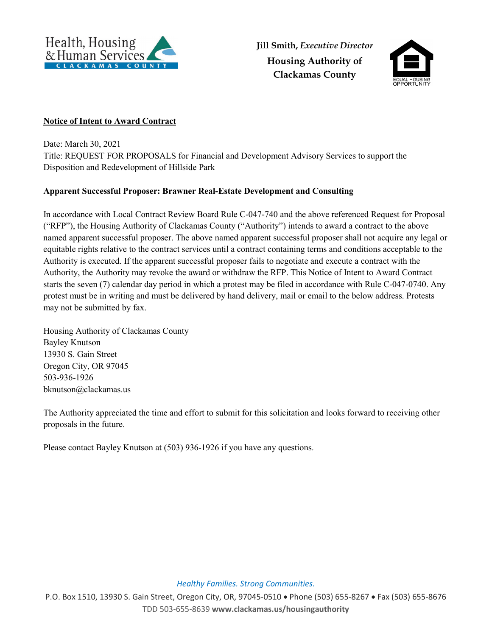



## **Notice of Intent to Award Contract**

Date: March 30, 2021 Title: REQUEST FOR PROPOSALS for Financial and Development Advisory Services to support the Disposition and Redevelopment of Hillside Park

## **Apparent Successful Proposer: Brawner Real-Estate Development and Consulting**

In accordance with Local Contract Review Board Rule C-047-740 and the above referenced Request for Proposal ("RFP"), the Housing Authority of Clackamas County ("Authority") intends to award a contract to the above named apparent successful proposer. The above named apparent successful proposer shall not acquire any legal or equitable rights relative to the contract services until a contract containing terms and conditions acceptable to the Authority is executed. If the apparent successful proposer fails to negotiate and execute a contract with the Authority, the Authority may revoke the award or withdraw the RFP. This Notice of Intent to Award Contract starts the seven (7) calendar day period in which a protest may be filed in accordance with Rule C-047-0740. Any protest must be in writing and must be delivered by hand delivery, mail or email to the below address. Protests may not be submitted by fax.

Housing Authority of Clackamas County Bayley Knutson 13930 S. Gain Street Oregon City, OR 97045 503-936-1926 bknutson@clackamas.us

The Authority appreciated the time and effort to submit for this solicitation and looks forward to receiving other proposals in the future.

Please contact Bayley Knutson at (503) 936-1926 if you have any questions.

*Healthy Families. Strong Communities.*

P.O. Box 1510, 13930 S. Gain Street, Oregon City, OR, 97045-0510 • Phone (503) 655-8267 • Fax (503) 655-8676 TDD 503-655-8639 **www.clackamas.us/housingauthority**